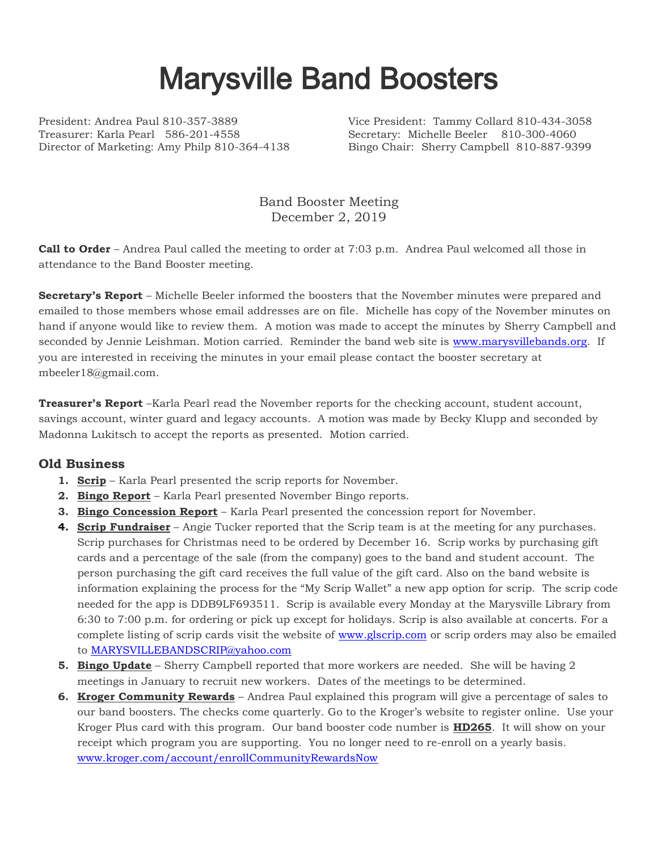## Marysville Band Boosters

President: Andrea Paul 810-357-3889 Vice President: Tammy Collard 810-434-3058 Treasurer: Karla Pearl 586-201-4558 Secretary: Michelle Beeler 810-300-4060 Director of Marketing: Amy Philp 810-364-4138 Bingo Chair: Sherry Campbell 810-887-9399

Band Booster Meeting December 2, 2019

**Call to Order** – Andrea Paul called the meeting to order at 7:03 p.m. Andrea Paul welcomed all those in attendance to the Band Booster meeting.

**Secretary's Report** – Michelle Beeler informed the boosters that the November minutes were prepared and emailed to those members whose email addresses are on file. Michelle has copy of the November minutes on hand if anyone would like to review them. A motion was made to accept the minutes by Sherry Campbell and seconded by Jennie Leishman. Motion carried. Reminder the band web site is [www.marysvillebands.org.](http://www.marysvillebands.org/) If you are interested in receiving the minutes in your email please contact the booster secretary at mbeeler18@gmail.com.

**Treasurer's Report** –Karla Pearl read the November reports for the checking account, student account, savings account, winter guard and legacy accounts. A motion was made by Becky Klupp and seconded by Madonna Lukitsch to accept the reports as presented. Motion carried.

## **Old Business**

- **1. Scrip** Karla Pearl presented the scrip reports for November.
- **2. Bingo Report** Karla Pearl presented November Bingo reports.
- **3. Bingo Concession Report** Karla Pearl presented the concession report for November.
- **4. Scrip Fundraiser** Angie Tucker reported that the Scrip team is at the meeting for any purchases. Scrip purchases for Christmas need to be ordered by December 16. Scrip works by purchasing gift cards and a percentage of the sale (from the company) goes to the band and student account. The person purchasing the gift card receives the full value of the gift card. Also on the band website is information explaining the process for the "My Scrip Wallet" a new app option for scrip. The scrip code needed for the app is DDB9LF693511. Scrip is available every Monday at the Marysville Library from 6:30 to 7:00 p.m. for ordering or pick up except for holidays. Scrip is also available at concerts. For a complete listing of scrip cards visit the website of [www.glscrip.com](http://www.glscrip.com/) or scrip orders may also be emailed to [MARYSVILLEBANDSCRIP@yahoo.com](mailto:MARYSVILLEBANDSCRIP@yahoo.com)
- **5. Bingo Update** Sherry Campbell reported that more workers are needed. She will be having 2 meetings in January to recruit new workers. Dates of the meetings to be determined.
- **6. Kroger Community Rewards** Andrea Paul explained this program will give a percentage of sales to our band boosters. The checks come quarterly. Go to the Kroger's website to register online. Use your Kroger Plus card with this program. Our band booster code number is **HD265**. It will show on your receipt which program you are supporting. You no longer need to re-enroll on a yearly basis. [www.kroger.com/account/enrollCommunityRewardsNow](http://www.kroger.com/account/enrollCommunityRewardsNow)